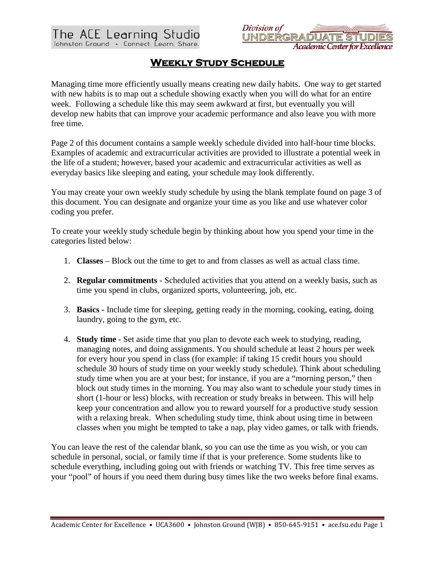



## **Weekly Study Schedule**

Managing time more efficiently usually means creating new daily habits. One way to get started with new habits is to map out a schedule showing exactly when you will do what for an entire week. Following a schedule like this may seem awkward at first, but eventually you will develop new habits that can improve your academic performance and also leave you with more free time.

Page 2 of this document contains a sample weekly schedule divided into half-hour time blocks. Examples of academic and extracurricular activities are provided to illustrate a potential week in the life of a student; however, based your academic and extracurricular activities as well as everyday basics like sleeping and eating, your schedule may look differently.

You may create your own weekly study schedule by using the blank template found on page 3 of this document. You can designate and organize your time as you like and use whatever color coding you prefer.

To create your weekly study schedule begin by thinking about how you spend your time in the categories listed below:

- 1. **Classes**  Block out the time to get to and from classes as well as actual class time.
- 2. **Regular commitments** Scheduled activities that you attend on a weekly basis, such as time you spend in clubs, organized sports, volunteering, job, etc.
- 3. **Basics -** Include time for sleeping, getting ready in the morning, cooking, eating, doing laundry, going to the gym, etc.
- 4. **Study time -** Set aside time that you plan to devote each week to studying, reading, managing notes, and doing assignments. You should schedule at least 2 hours per week for every hour you spend in class (for example: if taking 15 credit hours you should schedule 30 hours of study time on your weekly study schedule). Think about scheduling study time when you are at your best; for instance, if you are a "morning person," then block out study times in the morning. You may also want to schedule your study times in short (1-hour or less) blocks, with recreation or study breaks in between. This will help keep your concentration and allow you to reward yourself for a productive study session with a relaxing break. When scheduling study time, think about using time in between classes when you might be tempted to take a nap, play video games, or talk with friends.

You can leave the rest of the calendar blank, so you can use the time as you wish, or you can schedule in personal, social, or family time if that is your preference. Some students like to schedule everything, including going out with friends or watching TV. This free time serves as your "pool" of hours if you need them during busy times like the two weeks before final exams.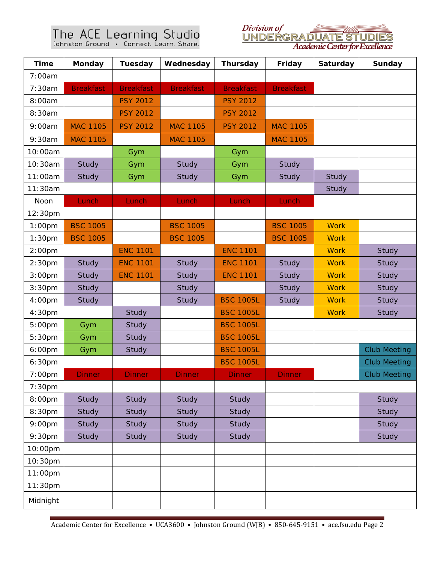## The ACE Learning Studio<br>Johnston Ground . Connect. Learn. Share.



| <b>Time</b>        | <b>Monday</b>    | <b>Tuesday</b>   | Wednesday        | <b>Thursday</b>  | Friday           | Saturday    | <b>Sunday</b>       |
|--------------------|------------------|------------------|------------------|------------------|------------------|-------------|---------------------|
| 7:00am             |                  |                  |                  |                  |                  |             |                     |
| 7:30am             | <b>Breakfast</b> | <b>Breakfast</b> | <b>Breakfast</b> | <b>Breakfast</b> | <b>Breakfast</b> |             |                     |
| 8:00am             |                  | <b>PSY 2012</b>  |                  | <b>PSY 2012</b>  |                  |             |                     |
| 8:30am             |                  | <b>PSY 2012</b>  |                  | <b>PSY 2012</b>  |                  |             |                     |
| 9:00am             | <b>MAC 1105</b>  | <b>PSY 2012</b>  | <b>MAC 1105</b>  | <b>PSY 2012</b>  | <b>MAC 1105</b>  |             |                     |
| 9:30am             | <b>MAC 1105</b>  |                  | <b>MAC 1105</b>  |                  | <b>MAC 1105</b>  |             |                     |
| 10:00am            |                  | Gym              |                  | Gym              |                  |             |                     |
| 10:30am            | Study            | Gym              | Study            | Gym              | Study            |             |                     |
| 11:00am            | Study            | Gym              | <b>Study</b>     | Gym              | <b>Study</b>     | Study       |                     |
| 11:30am            |                  |                  |                  |                  |                  | Study       |                     |
| Noon               | Lunch            | Lunch            | Lunch            | Lunch            | Lunch            |             |                     |
| 12:30pm            |                  |                  |                  |                  |                  |             |                     |
| $1:00$ pm          | <b>BSC 1005</b>  |                  | <b>BSC 1005</b>  |                  | <b>BSC 1005</b>  | <b>Work</b> |                     |
| 1:30 <sub>pm</sub> | <b>BSC 1005</b>  |                  | <b>BSC 1005</b>  |                  | <b>BSC 1005</b>  | <b>Work</b> |                     |
| 2:00 <sub>pm</sub> |                  | <b>ENC 1101</b>  |                  | <b>ENC 1101</b>  |                  | <b>Work</b> | Study               |
| 2:30 <sub>pm</sub> | Study            | <b>ENC 1101</b>  | Study            | <b>ENC 1101</b>  | Study            | <b>Work</b> | Study               |
| 3:00 <sub>pm</sub> | Study            | <b>ENC 1101</b>  | Study            | <b>ENC 1101</b>  | Study            | <b>Work</b> | Study               |
| 3:30 <sub>pm</sub> | Study            |                  | Study            |                  | Study            | <b>Work</b> | Study               |
| 4:00pm             | Study            |                  | Study            | <b>BSC 1005L</b> | Study            | <b>Work</b> | Study               |
| 4:30pm             |                  | Study            |                  | <b>BSC 1005L</b> |                  | <b>Work</b> | Study               |
| 5:00pm             | Gym              | Study            |                  | <b>BSC 1005L</b> |                  |             |                     |
| 5:30pm             | Gym              | Study            |                  | <b>BSC 1005L</b> |                  |             |                     |
| 6:00pm             | Gym              | Study            |                  | <b>BSC 1005L</b> |                  |             | <b>Club Meeting</b> |
| 6:30pm             |                  |                  |                  | <b>BSC 1005L</b> |                  |             | <b>Club Meeting</b> |
| 7:00 <sub>pm</sub> | <b>Dinner</b>    | <b>Dinner</b>    | <b>Dinner</b>    | <b>Dinner</b>    | <b>Dinner</b>    |             | <b>Club Meeting</b> |
| 7:30 <sub>pm</sub> |                  |                  |                  |                  |                  |             |                     |
| 8:00pm             | Study            | Study            | Study            | Study            |                  |             | Study               |
| 8:30pm             | Study            | Study            | Study            | Study            |                  |             | Study               |
| 9:00pm             | Study            | Study            | Study            | Study            |                  |             | Study               |
| 9:30pm             | Study            | Study            | Study            | Study            |                  |             | Study               |
| 10:00pm            |                  |                  |                  |                  |                  |             |                     |
| 10:30pm            |                  |                  |                  |                  |                  |             |                     |
| 11:00pm            |                  |                  |                  |                  |                  |             |                     |
| 11:30pm            |                  |                  |                  |                  |                  |             |                     |
| Midnight           |                  |                  |                  |                  |                  |             |                     |